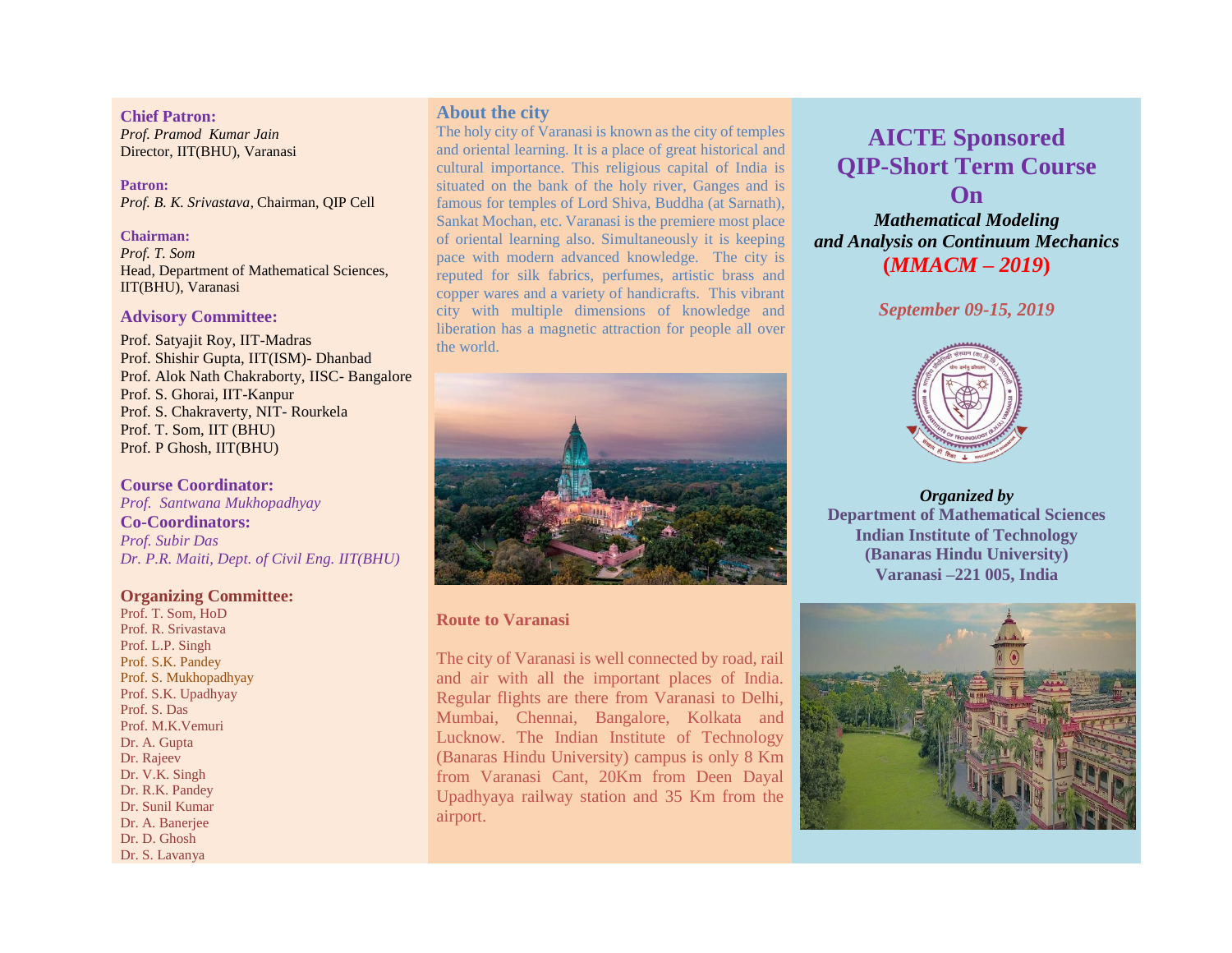#### **Chief Patron:**

*Prof. Pramod Kumar Jain* Director, IIT(BHU), Varanasi

**Patron:**  *Prof. B. K. Srivastava*, Chairman, QIP Cell

#### **Chairman:**

*Prof. T. Som* Head, Department of Mathematical Sciences, IIT(BHU), Varanasi

### **Advisory Committee:**

Prof. Satyajit Roy, IIT-Madras Prof. Shishir Gupta, IIT(ISM)- Dhanbad Prof. Alok Nath Chakraborty, IISC- Bangalore Prof. S. Ghorai, IIT-Kanpur Prof. S. Chakraverty, NIT- Rourkela Prof. T. Som, IIT (BHU) Prof. P Ghosh, IIT(BHU)

**Course Coordinator:** *Prof. Santwana Mukhopadhyay* **Co-Coordinators:** *Prof. Subir Das Dr. P.R. Maiti, Dept. of Civil Eng. IIT(BHU)*

## **Organizing Committee:**

Prof. T. Som, HoD Prof. R. Srivastava Prof. L.P. Singh Prof. S.K. Pandey Prof. S. Mukhopadhyay Prof. S.K. Upadhyay Prof. S. Das Prof. M.K.Vemuri Dr. A. Gupta Dr. Rajeev Dr. V.K. Singh Dr. R.K. Pandey Dr. Sunil Kumar Dr. A. Banerjee Dr. D. Ghosh Dr. S. Lavanya

# **About the city**

The holy city of Varanasi is known as the city of temples and oriental learning. It is a place of great historical and cultural importance. This religious capital of India is situated on the bank of the holy river, Ganges and is famous for temples of Lord Shiva, Buddha (at Sarnath), Sankat Mochan, etc. Varanasi is the premiere most place of oriental learning also. Simultaneously it is keeping pace with modern advanced knowledge. The city is reputed for silk fabrics, perfumes, artistic brass and copper wares and a variety of handicrafts. This vibrant city with multiple dimensions of knowledge and liberation has a magnetic attraction for people all over the world.



## **Route to Varanasi**

The city of Varanasi is well connected by road, rail and air with all the important places of India. Regular flights are there from Varanasi to Delhi, Mumbai, Chennai, Bangalore, Kolkata and Lucknow. The Indian Institute of Technology (Banaras Hindu University) campus is only 8 Km from Varanasi Cant, 20Km from Deen Dayal Upadhyaya railway station and 35 Km from the airport.

# **AICTE Sponsored QIP-Short Term Course On**

*Mathematical Modeling and Analysis on Continuum Mechanics* **(***MMACM – 2019***)**

*September 09-15, 2019*



*Organized by* **Department of Mathematical Sciences Indian Institute of Technology (Banaras Hindu University) Varanasi –221 005, India**

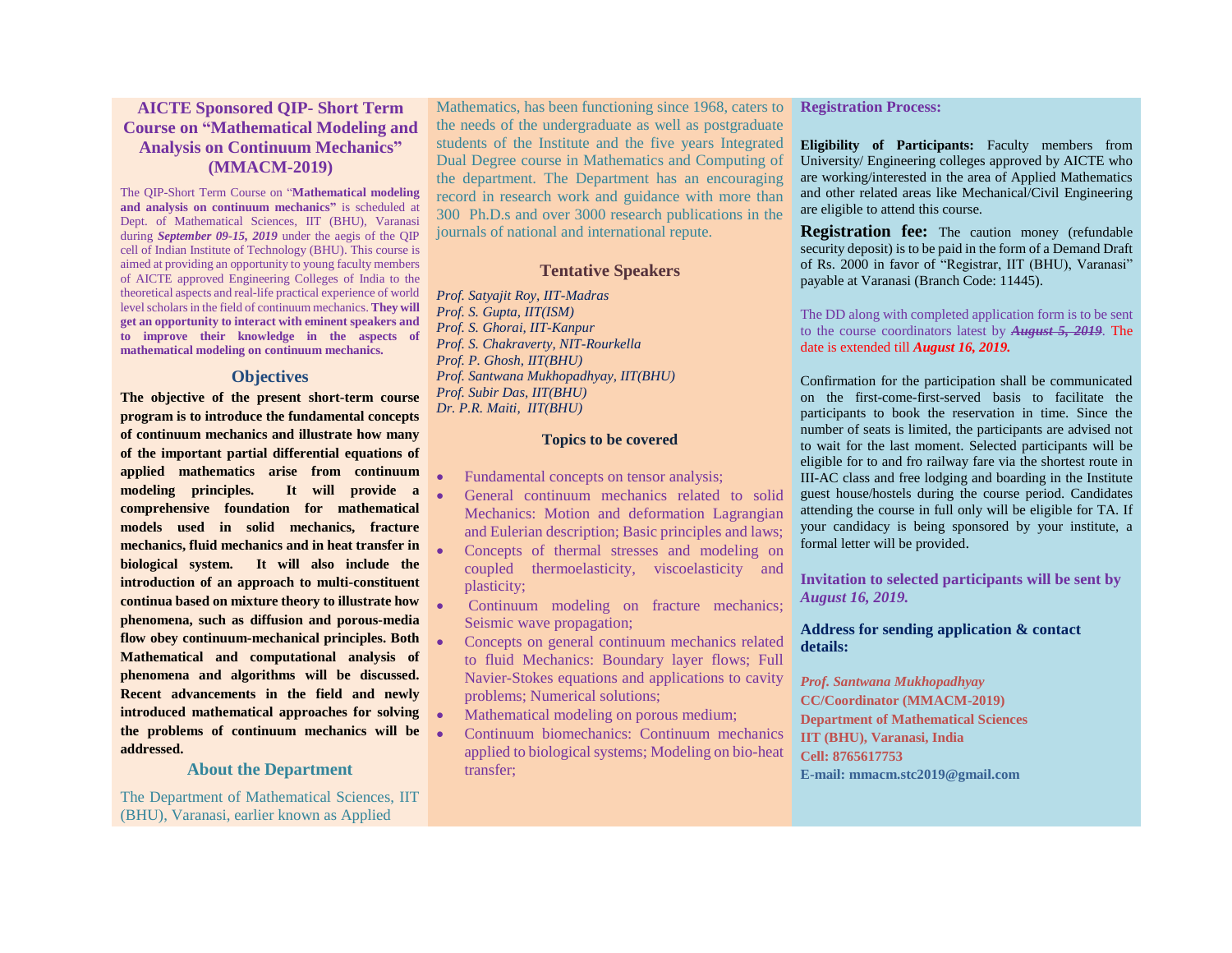## **AICTE Sponsored QIP- Short Term Course on "Mathematical Modeling and Analysis on Continuum Mechanics" (MMACM-2019)**

The QIP-Short Term Course on "**Mathematical modeling and analysis on continuum mechanics"** is scheduled at Dept. of Mathematical Sciences, IIT (BHU), Varanasi during *September 09-15, 2019* under the aegis of the QIP cell of Indian Institute of Technology (BHU). This course is aimed at providing an opportunity to young faculty members of AICTE approved Engineering Colleges of India to the theoretical aspects and real-life practical experience of world level scholars in the field of continuum mechanics. **They will get an opportunity to interact with eminent speakers and to improve their knowledge in the aspects of mathematical modeling on continuum mechanics.**

#### **Objectives**

**The objective of the present short-term course program is to introduce the fundamental concepts of continuum mechanics and illustrate how many of the important partial differential equations of applied mathematics arise from continuum modeling principles. It will provide a comprehensive foundation for mathematical models used in solid mechanics, fracture mechanics, fluid mechanics and in heat transfer in biological system. It will also include the introduction of an approach to multi-constituent continua based on mixture theory to illustrate how phenomena, such as diffusion and porous-media flow obey continuum-mechanical principles. Both Mathematical and computational analysis of phenomena and algorithms will be discussed. Recent advancements in the field and newly introduced mathematical approaches for solving the problems of continuum mechanics will be addressed.**

#### **About the Department**

The Department of Mathematical Sciences, IIT (BHU), Varanasi, earlier known as Applied

Mathematics, has been functioning since 1968, caters to the needs of the undergraduate as well as postgraduate students of the Institute and the five years Integrated Dual Degree course in Mathematics and Computing of the department. The Department has an encouraging record in research work and guidance with more than 300 Ph.D.s and over 3000 research publications in the journals of national and international repute.

### **Tentative Speakers**

*Prof. Satyajit Roy, IIT-Madras Prof. S. Gupta, IIT(ISM) Prof. S. Ghorai, IIT-Kanpur Prof. S. Chakraverty, NIT-Rourkella Prof. P. Ghosh, IIT(BHU) Prof. Santwana Mukhopadhyay, IIT(BHU) Prof. Subir Das, IIT(BHU) Dr. P.R. Maiti, IIT(BHU)*

#### **Topics to be covered**

- Fundamental concepts on tensor analysis;
- General continuum mechanics related to solid Mechanics: Motion and deformation Lagrangian and Eulerian description; Basic principles and laws;
- Concepts of thermal stresses and modeling on coupled thermoelasticity, viscoelasticity and plasticity;
- Continuum modeling on fracture mechanics; Seismic wave propagation;
	- Concepts on general continuum mechanics related to fluid Mechanics: Boundary layer flows; Full Navier-Stokes equations and applications to cavity problems; Numerical solutions;
	- Mathematical modeling on porous medium;
	- Continuum biomechanics: Continuum mechanics applied to biological systems; Modeling on bio-heat transfer;

#### **Registration Process:**

**Eligibility of Participants:** Faculty members from University/ Engineering colleges approved by AICTE who are working/interested in the area of Applied Mathematics and other related areas like Mechanical/Civil Engineering are eligible to attend this course.

**Registration fee:** The caution money (refundable security deposit) is to be paid in the form of a Demand Draft of Rs. 2000 in favor of "Registrar, IIT (BHU), Varanasi" payable at Varanasi (Branch Code: 11445).

The DD along with completed application form is to be sent to the course coordinators latest by *August 5, 2019.* The date is extended till *August 16, 2019.*

Confirmation for the participation shall be communicated on the first-come-first-served basis to facilitate the participants to book the reservation in time. Since the number of seats is limited, the participants are advised not to wait for the last moment. Selected participants will be eligible for to and fro railway fare via the shortest route in III-AC class and free lodging and boarding in the Institute guest house/hostels during the course period. Candidates attending the course in full only will be eligible for TA. If your candidacy is being sponsored by your institute, a formal letter will be provided.

**Invitation to selected participants will be sent by**  *August 16, 2019.*

#### **Address for sending application & contact details:**

*Prof. Santwana Mukhopadhyay* **CC/Coordinator (MMACM-2019) Department of Mathematical Sciences IIT (BHU), Varanasi, India Cell: 8765617753 E-mail: mmacm.stc2019@gmail.com**